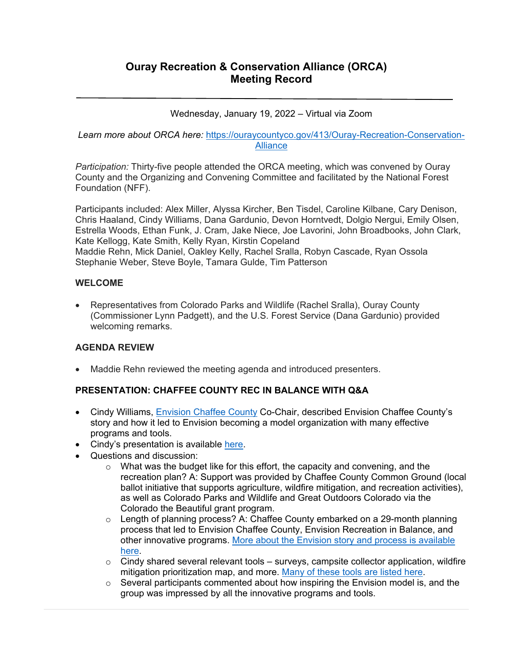Wednesday, January 19, 2022 – Virtual via Zoom

## *Learn more about ORCA here:* https://ouraycountyco.gov/413/Ouray-Recreation-Conservation-**Alliance**

*Participation:* Thirty-five people attended the ORCA meeting, which was convened by Ouray County and the Organizing and Convening Committee and facilitated by the National Forest Foundation (NFF).

Participants included: Alex Miller, Alyssa Kircher, Ben Tisdel, Caroline Kilbane, Cary Denison, Chris Haaland, Cindy Williams, Dana Gardunio, Devon Horntvedt, Dolgio Nergui, Emily Olsen, Estrella Woods, Ethan Funk, J. Cram, Jake Niece, Joe Lavorini, John Broadbooks, John Clark, Kate Kellogg, Kate Smith, Kelly Ryan, Kirstin Copeland Maddie Rehn, Mick Daniel, Oakley Kelly, Rachel Sralla, Robyn Cascade, Ryan Ossola Stephanie Weber, Steve Boyle, Tamara Gulde, Tim Patterson

## **WELCOME**

 Representatives from Colorado Parks and Wildlife (Rachel Sralla), Ouray County (Commissioner Lynn Padgett), and the U.S. Forest Service (Dana Gardunio) provided welcoming remarks.

# **AGENDA REVIEW**

Maddie Rehn reviewed the meeting agenda and introduced presenters.

# **PRESENTATION: CHAFFEE COUNTY REC IN BALANCE WITH Q&A**

- Cindy Williams, Envision Chaffee County Co-Chair, described Envision Chaffee County's story and how it led to Envision becoming a model organization with many effective programs and tools.
- Cindy's presentation is available here.
- Questions and discussion:
	- $\circ$  What was the budget like for this effort, the capacity and convening, and the recreation plan? A: Support was provided by Chaffee County Common Ground (local ballot initiative that supports agriculture, wildfire mitigation, and recreation activities), as well as Colorado Parks and Wildlife and Great Outdoors Colorado via the Colorado the Beautiful grant program.
	- $\circ$  Length of planning process? A: Chaffee County embarked on a 29-month planning process that led to Envision Chaffee County, Envision Recreation in Balance, and other innovative programs. More about the Envision story and process is available here.
	- $\circ$  Cindy shared several relevant tools surveys, campsite collector application, wildfire mitigation prioritization map, and more. Many of these tools are listed here.
	- $\circ$  Several participants commented about how inspiring the Envision model is, and the group was impressed by all the innovative programs and tools.